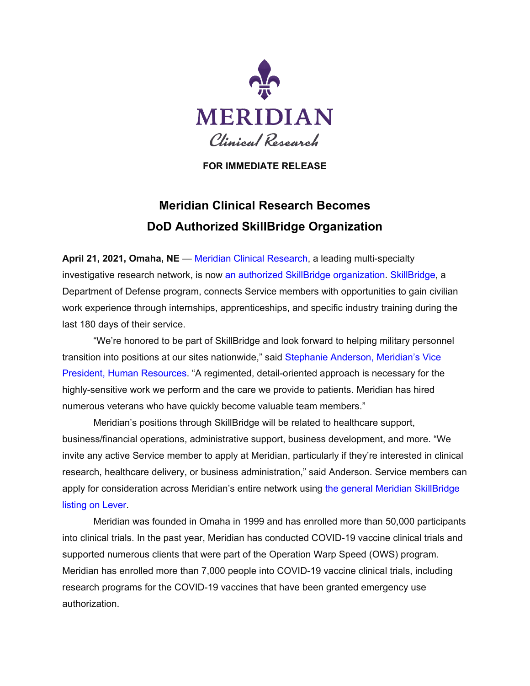

**FOR IMMEDIATE RELEASE**

## **Meridian Clinical Research Becomes DoD Authorized SkillBridge Organization**

**April 21, 2021, Omaha, NE** — [Meridian Clinical Research,](https://www.mcrmed.com/) a leading multi-specialty investigative research network, is now [an authorized SkillBridge organization.](https://dodskillbridge.usalearning.gov/organizations.htm) [SkillBridge,](https://dodskillbridge.usalearning.gov/program-overview.htm) a Department of Defense program, connects Service members with opportunities to gain civilian work experience through internships, apprenticeships, and specific industry training during the last 180 days of their service.

"We're honored to be part of SkillBridge and look forward to helping military personnel transition into positions at our sites nationwide," said [Stephanie Anderson, Meridian's Vice](https://www.mcrmed.com/about/leadership-team/#steph)  [President, Human Resources.](https://www.mcrmed.com/about/leadership-team/#steph) "A regimented, detail-oriented approach is necessary for the highly-sensitive work we perform and the care we provide to patients. Meridian has hired numerous veterans who have quickly become valuable team members."

Meridian's positions through SkillBridge will be related to healthcare support, business/financial operations, administrative support, business development, and more. "We invite any active Service member to apply at Meridian, particularly if they're interested in clinical research, healthcare delivery, or business administration," said Anderson. Service members can apply for consideration across Meridian's entire network using [the general Meridian SkillBridge](https://jobs.lever.co/mcrmed/15ed521e-d3b3-4949-ae13-b8cbde6a114e)  [listing on Lever.](https://jobs.lever.co/mcrmed/15ed521e-d3b3-4949-ae13-b8cbde6a114e)

Meridian was founded in Omaha in 1999 and has enrolled more than 50,000 participants into clinical trials. In the past year, Meridian has conducted COVID-19 vaccine clinical trials and supported numerous clients that were part of the Operation Warp Speed (OWS) program. Meridian has enrolled more than 7,000 people into COVID-19 vaccine clinical trials, including research programs for the COVID-19 vaccines that have been granted emergency use authorization.